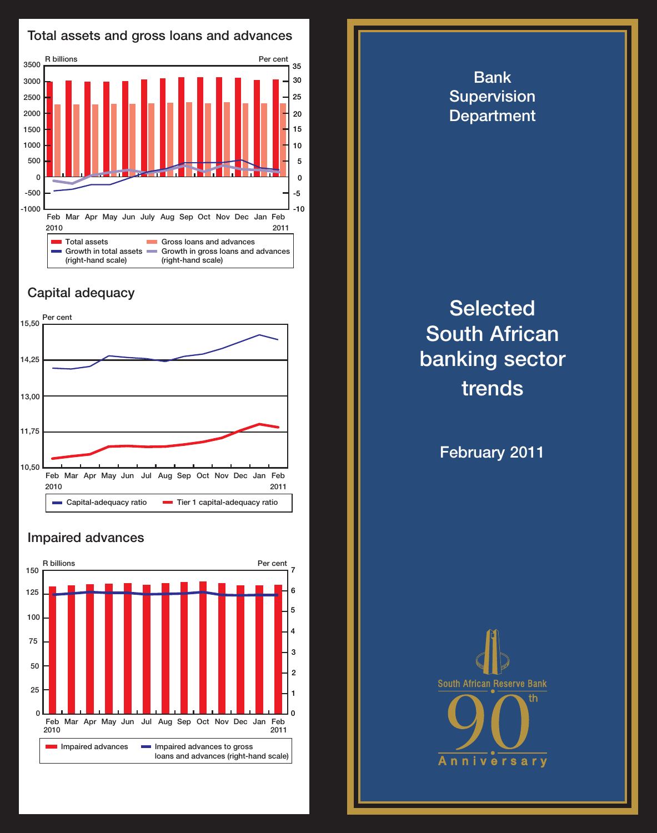

## Capital adequacy



## Impaired advances



**Selected** South African banking sector trends

Bank **Supervision Department** 

February 2011